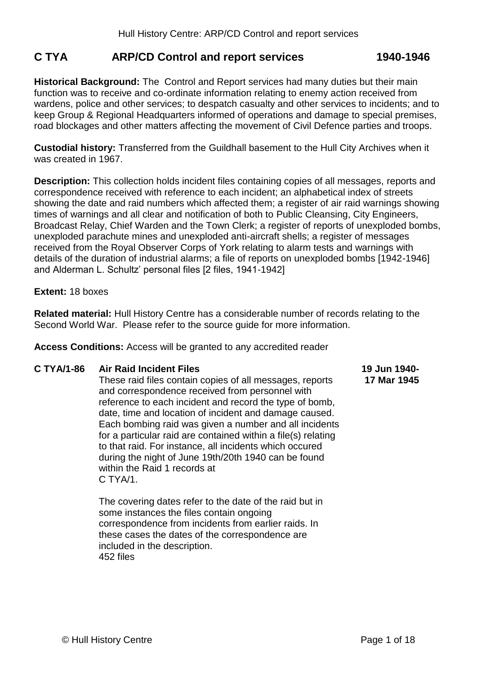# **C TYA ARP/CD Control and report services 1940-1946**

**Historical Background:** The Control and Report services had many duties but their main function was to receive and co-ordinate information relating to enemy action received from wardens, police and other services; to despatch casualty and other services to incidents; and to keep Group & Regional Headquarters informed of operations and damage to special premises, road blockages and other matters affecting the movement of Civil Defence parties and troops.

**Custodial history:** Transferred from the Guildhall basement to the Hull City Archives when it was created in 1967.

**Description:** This collection holds incident files containing copies of all messages, reports and correspondence received with reference to each incident; an alphabetical index of streets showing the date and raid numbers which affected them; a register of air raid warnings showing times of warnings and all clear and notification of both to Public Cleansing, City Engineers, Broadcast Relay, Chief Warden and the Town Clerk; a register of reports of unexploded bombs, unexploded parachute mines and unexploded anti-aircraft shells; a register of messages received from the Royal Observer Corps of York relating to alarm tests and warnings with details of the duration of industrial alarms; a file of reports on unexploded bombs [1942-1946] and Alderman L. Schultz' personal files [2 files, 1941-1942]

## **Extent:** 18 boxes

**Related material:** Hull History Centre has a considerable number of records relating to the Second World War. Please refer to the source guide for more information.

**Access Conditions:** Access will be granted to any accredited reader

## **C TYA/1-86 Air Raid Incident Files**

These raid files contain copies of all messages, reports and correspondence received from personnel with reference to each incident and record the type of bomb, date, time and location of incident and damage caused. Each bombing raid was given a number and all incidents for a particular raid are contained within a file(s) relating to that raid. For instance, all incidents which occured during the night of June 19th/20th 1940 can be found within the Raid 1 records at  $C. TYA/1.$ 

The covering dates refer to the date of the raid but in some instances the files contain ongoing correspondence from incidents from earlier raids. In these cases the dates of the correspondence are included in the description. 452 files

#### **19 Jun 1940- 17 Mar 1945**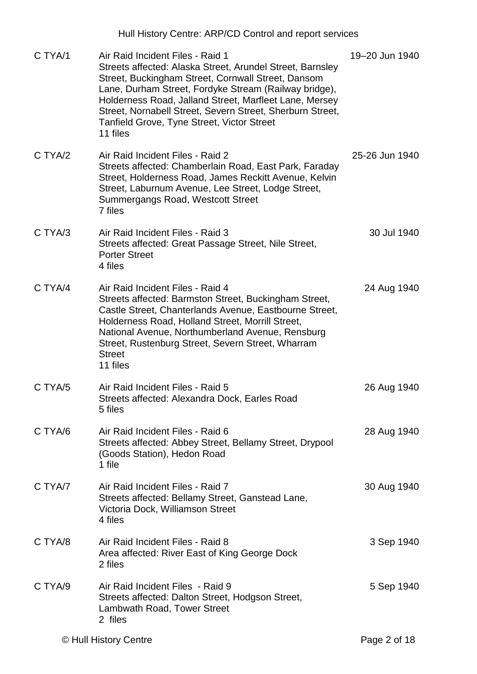|         | Hull History Centre: ARP/CD Control and report services                                                                                                                                                                                                                                                                                                                                       |                |
|---------|-----------------------------------------------------------------------------------------------------------------------------------------------------------------------------------------------------------------------------------------------------------------------------------------------------------------------------------------------------------------------------------------------|----------------|
| C TYA/1 | Air Raid Incident Files - Raid 1<br>Streets affected: Alaska Street, Arundel Street, Barnsley<br>Street, Buckingham Street, Cornwall Street, Dansom<br>Lane, Durham Street, Fordyke Stream (Railway bridge),<br>Holderness Road, Jalland Street, Marfleet Lane, Mersey<br>Street, Nornabell Street, Severn Street, Sherburn Street,<br>Tanfield Grove, Tyne Street, Victor Street<br>11 files | 19-20 Jun 1940 |
| C TYA/2 | Air Raid Incident Files - Raid 2<br>Streets affected: Chamberlain Road, East Park, Faraday<br>Street, Holderness Road, James Reckitt Avenue, Kelvin<br>Street, Laburnum Avenue, Lee Street, Lodge Street,<br>Summergangs Road, Westcott Street<br>7 files                                                                                                                                     | 25-26 Jun 1940 |
| C TYA/3 | Air Raid Incident Files - Raid 3<br>Streets affected: Great Passage Street, Nile Street,<br><b>Porter Street</b><br>4 files                                                                                                                                                                                                                                                                   | 30 Jul 1940    |
| C TYA/4 | Air Raid Incident Files - Raid 4<br>Streets affected: Barmston Street, Buckingham Street,<br>Castle Street, Chanterlands Avenue, Eastbourne Street,<br>Holderness Road, Holland Street, Morrill Street,<br>National Avenue, Northumberland Avenue, Rensburg<br>Street, Rustenburg Street, Severn Street, Wharram<br><b>Street</b><br>11 files                                                 | 24 Aug 1940    |
| C TYA/5 | Air Raid Incident Files - Raid 5<br>Streets affected: Alexandra Dock, Earles Road<br>5 files                                                                                                                                                                                                                                                                                                  | 26 Aug 1940    |
| C TYA/6 | Air Raid Incident Files - Raid 6<br>Streets affected: Abbey Street, Bellamy Street, Drypool<br>(Goods Station), Hedon Road<br>1 file                                                                                                                                                                                                                                                          | 28 Aug 1940    |
| C TYA/7 | Air Raid Incident Files - Raid 7<br>Streets affected: Bellamy Street, Ganstead Lane,<br>Victoria Dock, Williamson Street<br>4 files                                                                                                                                                                                                                                                           | 30 Aug 1940    |
| C TYA/8 | Air Raid Incident Files - Raid 8<br>Area affected: River East of King George Dock<br>2 files                                                                                                                                                                                                                                                                                                  | 3 Sep 1940     |
| C TYA/9 | Air Raid Incident Files - Raid 9<br>Streets affected: Dalton Street, Hodgson Street,<br>Lambwath Road, Tower Street<br>2 files                                                                                                                                                                                                                                                                | 5 Sep 1940     |
|         | © Hull History Centre                                                                                                                                                                                                                                                                                                                                                                         | Page 2 of 18   |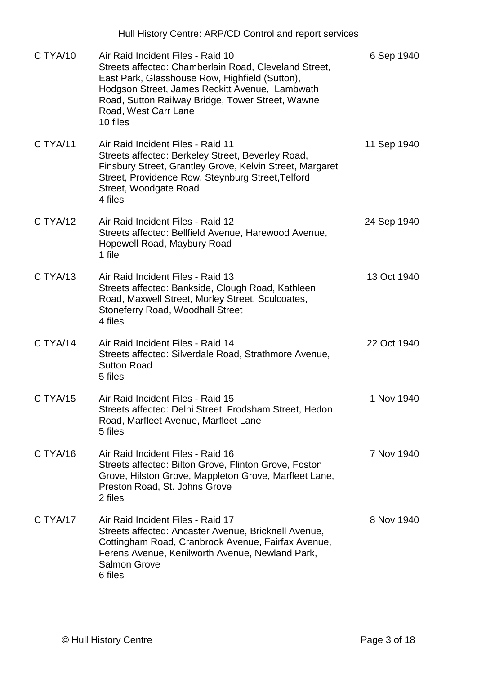|          | Hull History Centre: ARP/CD Control and report services                                                                                                                                                                                                                                |             |
|----------|----------------------------------------------------------------------------------------------------------------------------------------------------------------------------------------------------------------------------------------------------------------------------------------|-------------|
| C TYA/10 | Air Raid Incident Files - Raid 10<br>Streets affected: Chamberlain Road, Cleveland Street,<br>East Park, Glasshouse Row, Highfield (Sutton),<br>Hodgson Street, James Reckitt Avenue, Lambwath<br>Road, Sutton Railway Bridge, Tower Street, Wawne<br>Road, West Carr Lane<br>10 files | 6 Sep 1940  |
| C TYA/11 | Air Raid Incident Files - Raid 11<br>Streets affected: Berkeley Street, Beverley Road,<br>Finsbury Street, Grantley Grove, Kelvin Street, Margaret<br>Street, Providence Row, Steynburg Street, Telford<br>Street, Woodgate Road<br>4 files                                            | 11 Sep 1940 |
| C TYA/12 | Air Raid Incident Files - Raid 12<br>Streets affected: Bellfield Avenue, Harewood Avenue,<br>Hopewell Road, Maybury Road<br>1 file                                                                                                                                                     | 24 Sep 1940 |
| C TYA/13 | Air Raid Incident Files - Raid 13<br>Streets affected: Bankside, Clough Road, Kathleen<br>Road, Maxwell Street, Morley Street, Sculcoates,<br><b>Stoneferry Road, Woodhall Street</b><br>4 files                                                                                       | 13 Oct 1940 |
| C TYA/14 | Air Raid Incident Files - Raid 14<br>Streets affected: Silverdale Road, Strathmore Avenue,<br><b>Sutton Road</b><br>5 files                                                                                                                                                            | 22 Oct 1940 |
| C TYA/15 | Air Raid Incident Files - Raid 15<br>Streets affected: Delhi Street, Frodsham Street, Hedon<br>Road, Marfleet Avenue, Marfleet Lane<br>5 files                                                                                                                                         | 1 Nov 1940  |
| C TYA/16 | Air Raid Incident Files - Raid 16<br>Streets affected: Bilton Grove, Flinton Grove, Foston<br>Grove, Hilston Grove, Mappleton Grove, Marfleet Lane,<br>Preston Road, St. Johns Grove<br>2 files                                                                                        | 7 Nov 1940  |
| C TYA/17 | Air Raid Incident Files - Raid 17<br>Streets affected: Ancaster Avenue, Bricknell Avenue,<br>Cottingham Road, Cranbrook Avenue, Fairfax Avenue,<br>Ferens Avenue, Kenilworth Avenue, Newland Park,<br><b>Salmon Grove</b><br>6 files                                                   | 8 Nov 1940  |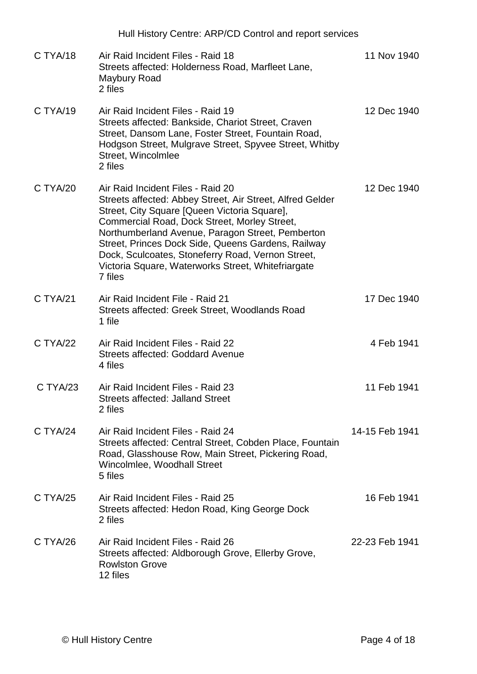|          | Hull History Centre: ARP/CD Control and report services                                                                                                                                                                                                                                                                                                                                                                        |                |
|----------|--------------------------------------------------------------------------------------------------------------------------------------------------------------------------------------------------------------------------------------------------------------------------------------------------------------------------------------------------------------------------------------------------------------------------------|----------------|
| C TYA/18 | Air Raid Incident Files - Raid 18<br>Streets affected: Holderness Road, Marfleet Lane,<br>Maybury Road<br>2 files                                                                                                                                                                                                                                                                                                              | 11 Nov 1940    |
| C TYA/19 | Air Raid Incident Files - Raid 19<br>Streets affected: Bankside, Chariot Street, Craven<br>Street, Dansom Lane, Foster Street, Fountain Road,<br>Hodgson Street, Mulgrave Street, Spyvee Street, Whitby<br>Street, Wincolmlee<br>2 files                                                                                                                                                                                       | 12 Dec 1940    |
| C TYA/20 | Air Raid Incident Files - Raid 20<br>Streets affected: Abbey Street, Air Street, Alfred Gelder<br>Street, City Square [Queen Victoria Square],<br>Commercial Road, Dock Street, Morley Street,<br>Northumberland Avenue, Paragon Street, Pemberton<br>Street, Princes Dock Side, Queens Gardens, Railway<br>Dock, Sculcoates, Stoneferry Road, Vernon Street,<br>Victoria Square, Waterworks Street, Whitefriargate<br>7 files | 12 Dec 1940    |
| C TYA/21 | Air Raid Incident File - Raid 21<br>Streets affected: Greek Street, Woodlands Road<br>1 file                                                                                                                                                                                                                                                                                                                                   | 17 Dec 1940    |
| C TYA/22 | Air Raid Incident Files - Raid 22<br><b>Streets affected: Goddard Avenue</b><br>4 files                                                                                                                                                                                                                                                                                                                                        | 4 Feb 1941     |
| C TYA/23 | Air Raid Incident Files - Raid 23<br><b>Streets affected: Jalland Street</b><br>2 files                                                                                                                                                                                                                                                                                                                                        | 11 Feb 1941    |
| C TYA/24 | Air Raid Incident Files - Raid 24<br>Streets affected: Central Street, Cobden Place, Fountain<br>Road, Glasshouse Row, Main Street, Pickering Road,<br>Wincolmlee, Woodhall Street<br>5 files                                                                                                                                                                                                                                  | 14-15 Feb 1941 |
| C TYA/25 | Air Raid Incident Files - Raid 25<br>Streets affected: Hedon Road, King George Dock<br>2 files                                                                                                                                                                                                                                                                                                                                 | 16 Feb 1941    |
| C TYA/26 | Air Raid Incident Files - Raid 26<br>Streets affected: Aldborough Grove, Ellerby Grove,<br><b>Rowlston Grove</b><br>12 files                                                                                                                                                                                                                                                                                                   | 22-23 Feb 1941 |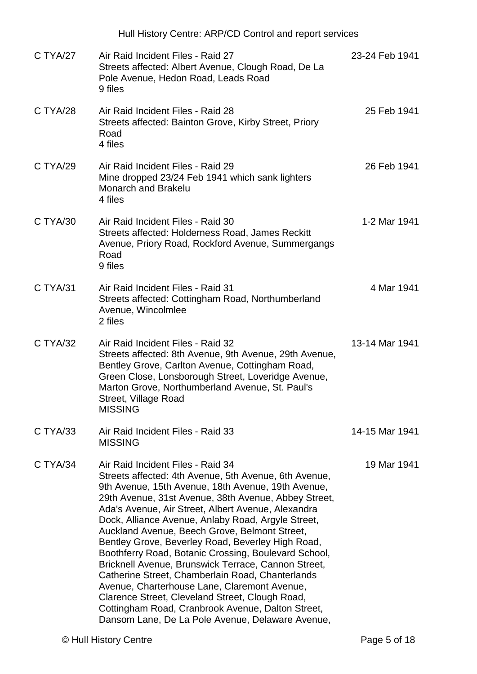|          | Hull History Centre: ARP/CD Control and report services                                                                                                                                                                                                                                                                                                                                                                                                                                                                                                                                                                                                                                                                                                                                                   |                |
|----------|-----------------------------------------------------------------------------------------------------------------------------------------------------------------------------------------------------------------------------------------------------------------------------------------------------------------------------------------------------------------------------------------------------------------------------------------------------------------------------------------------------------------------------------------------------------------------------------------------------------------------------------------------------------------------------------------------------------------------------------------------------------------------------------------------------------|----------------|
| C TYA/27 | Air Raid Incident Files - Raid 27<br>Streets affected: Albert Avenue, Clough Road, De La<br>Pole Avenue, Hedon Road, Leads Road<br>9 files                                                                                                                                                                                                                                                                                                                                                                                                                                                                                                                                                                                                                                                                | 23-24 Feb 1941 |
| C TYA/28 | Air Raid Incident Files - Raid 28<br>Streets affected: Bainton Grove, Kirby Street, Priory<br>Road<br>4 files                                                                                                                                                                                                                                                                                                                                                                                                                                                                                                                                                                                                                                                                                             | 25 Feb 1941    |
| C TYA/29 | Air Raid Incident Files - Raid 29<br>Mine dropped 23/24 Feb 1941 which sank lighters<br><b>Monarch and Brakelu</b><br>4 files                                                                                                                                                                                                                                                                                                                                                                                                                                                                                                                                                                                                                                                                             | 26 Feb 1941    |
| C TYA/30 | Air Raid Incident Files - Raid 30<br>Streets affected: Holderness Road, James Reckitt<br>Avenue, Priory Road, Rockford Avenue, Summergangs<br>Road<br>9 files                                                                                                                                                                                                                                                                                                                                                                                                                                                                                                                                                                                                                                             | 1-2 Mar 1941   |
| C TYA/31 | Air Raid Incident Files - Raid 31<br>Streets affected: Cottingham Road, Northumberland<br>Avenue, Wincolmlee<br>2 files                                                                                                                                                                                                                                                                                                                                                                                                                                                                                                                                                                                                                                                                                   | 4 Mar 1941     |
| C TYA/32 | Air Raid Incident Files - Raid 32<br>Streets affected: 8th Avenue, 9th Avenue, 29th Avenue,<br>Bentley Grove, Carlton Avenue, Cottingham Road,<br>Green Close, Lonsborough Street, Loveridge Avenue,<br>Marton Grove, Northumberland Avenue, St. Paul's<br>Street, Village Road<br><b>MISSING</b>                                                                                                                                                                                                                                                                                                                                                                                                                                                                                                         | 13-14 Mar 1941 |
| C TYA/33 | Air Raid Incident Files - Raid 33<br><b>MISSING</b>                                                                                                                                                                                                                                                                                                                                                                                                                                                                                                                                                                                                                                                                                                                                                       | 14-15 Mar 1941 |
| C TYA/34 | Air Raid Incident Files - Raid 34<br>Streets affected: 4th Avenue, 5th Avenue, 6th Avenue,<br>9th Avenue, 15th Avenue, 18th Avenue, 19th Avenue,<br>29th Avenue, 31st Avenue, 38th Avenue, Abbey Street,<br>Ada's Avenue, Air Street, Albert Avenue, Alexandra<br>Dock, Alliance Avenue, Anlaby Road, Argyle Street,<br>Auckland Avenue, Beech Grove, Belmont Street,<br>Bentley Grove, Beverley Road, Beverley High Road,<br>Boothferry Road, Botanic Crossing, Boulevard School,<br>Bricknell Avenue, Brunswick Terrace, Cannon Street,<br>Catherine Street, Chamberlain Road, Chanterlands<br>Avenue, Charterhouse Lane, Claremont Avenue,<br>Clarence Street, Cleveland Street, Clough Road,<br>Cottingham Road, Cranbrook Avenue, Dalton Street,<br>Dansom Lane, De La Pole Avenue, Delaware Avenue, | 19 Mar 1941    |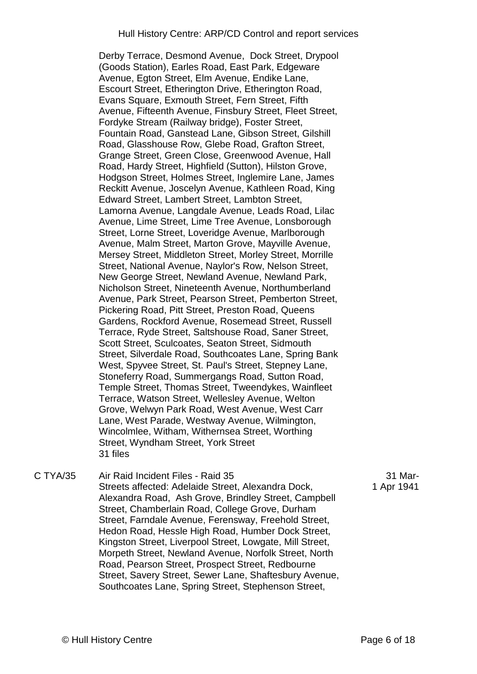Derby Terrace, Desmond Avenue, Dock Street, Drypool (Goods Station), Earles Road, East Park, Edgeware Avenue, Egton Street, Elm Avenue, Endike Lane, Escourt Street, Etherington Drive, Etherington Road, Evans Square, Exmouth Street, Fern Street, Fifth Avenue, Fifteenth Avenue, Finsbury Street, Fleet Street, Fordyke Stream (Railway bridge), Foster Street, Fountain Road, Ganstead Lane, Gibson Street, Gilshill Road, Glasshouse Row, Glebe Road, Grafton Street, Grange Street, Green Close, Greenwood Avenue, Hall Road, Hardy Street, Highfield (Sutton), Hilston Grove, Hodgson Street, Holmes Street, Inglemire Lane, James Reckitt Avenue, Joscelyn Avenue, Kathleen Road, King Edward Street, Lambert Street, Lambton Street, Lamorna Avenue, Langdale Avenue, Leads Road, Lilac Avenue, Lime Street, Lime Tree Avenue, Lonsborough Street, Lorne Street, Loveridge Avenue, Marlborough Avenue, Malm Street, Marton Grove, Mayville Avenue, Mersey Street, Middleton Street, Morley Street, Morrille Street, National Avenue, Naylor's Row, Nelson Street, New George Street, Newland Avenue, Newland Park, Nicholson Street, Nineteenth Avenue, Northumberland Avenue, Park Street, Pearson Street, Pemberton Street, Pickering Road, Pitt Street, Preston Road, Queens Gardens, Rockford Avenue, Rosemead Street, Russell Terrace, Ryde Street, Saltshouse Road, Saner Street, Scott Street, Sculcoates, Seaton Street, Sidmouth Street, Silverdale Road, Southcoates Lane, Spring Bank West, Spyvee Street, St. Paul's Street, Stepney Lane, Stoneferry Road, Summergangs Road, Sutton Road, Temple Street, Thomas Street, Tweendykes, Wainfleet Terrace, Watson Street, Wellesley Avenue, Welton Grove, Welwyn Park Road, West Avenue, West Carr Lane, West Parade, Westway Avenue, Wilmington, Wincolmlee, Witham, Withernsea Street, Worthing Street, Wyndham Street, York Street 31 files

C TYA/35 Air Raid Incident Files - Raid 35 Streets affected: Adelaide Street, Alexandra Dock, Alexandra Road, Ash Grove, Brindley Street, Campbell Street, Chamberlain Road, College Grove, Durham Street, Farndale Avenue, Ferensway, Freehold Street, Hedon Road, Hessle High Road, Humber Dock Street, Kingston Street, Liverpool Street, Lowgate, Mill Street, Morpeth Street, Newland Avenue, Norfolk Street, North Road, Pearson Street, Prospect Street, Redbourne Street, Savery Street, Sewer Lane, Shaftesbury Avenue, Southcoates Lane, Spring Street, Stephenson Street,

31 Mar-1 Apr 1941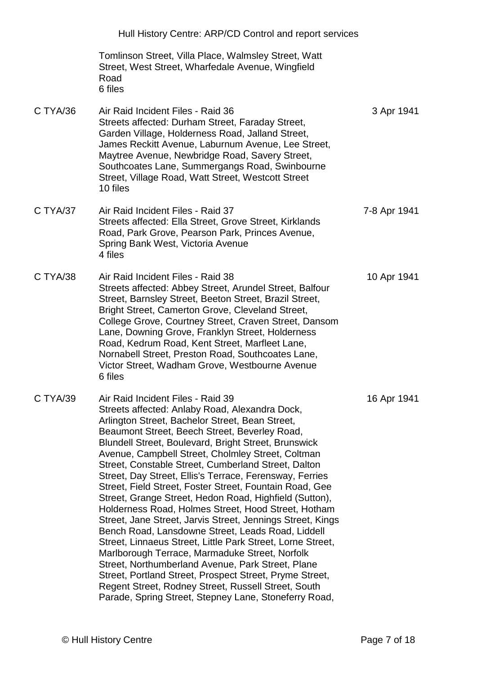|          | Hull History Centre: ARP/CD Control and report services                                                                                                                                                                                                                                                                                                                                                                                                                                                                                                                                                                                                                                                                                                                                                                                                                                                                                                                                                                                                               |              |
|----------|-----------------------------------------------------------------------------------------------------------------------------------------------------------------------------------------------------------------------------------------------------------------------------------------------------------------------------------------------------------------------------------------------------------------------------------------------------------------------------------------------------------------------------------------------------------------------------------------------------------------------------------------------------------------------------------------------------------------------------------------------------------------------------------------------------------------------------------------------------------------------------------------------------------------------------------------------------------------------------------------------------------------------------------------------------------------------|--------------|
|          | Tomlinson Street, Villa Place, Walmsley Street, Watt<br>Street, West Street, Wharfedale Avenue, Wingfield<br>Road<br>6 files                                                                                                                                                                                                                                                                                                                                                                                                                                                                                                                                                                                                                                                                                                                                                                                                                                                                                                                                          |              |
| C TYA/36 | Air Raid Incident Files - Raid 36<br>Streets affected: Durham Street, Faraday Street,<br>Garden Village, Holderness Road, Jalland Street,<br>James Reckitt Avenue, Laburnum Avenue, Lee Street,<br>Maytree Avenue, Newbridge Road, Savery Street,<br>Southcoates Lane, Summergangs Road, Swinbourne<br>Street, Village Road, Watt Street, Westcott Street<br>10 files                                                                                                                                                                                                                                                                                                                                                                                                                                                                                                                                                                                                                                                                                                 | 3 Apr 1941   |
| C TYA/37 | Air Raid Incident Files - Raid 37<br>Streets affected: Ella Street, Grove Street, Kirklands<br>Road, Park Grove, Pearson Park, Princes Avenue,<br>Spring Bank West, Victoria Avenue<br>4 files                                                                                                                                                                                                                                                                                                                                                                                                                                                                                                                                                                                                                                                                                                                                                                                                                                                                        | 7-8 Apr 1941 |
| C TYA/38 | Air Raid Incident Files - Raid 38<br>Streets affected: Abbey Street, Arundel Street, Balfour<br>Street, Barnsley Street, Beeton Street, Brazil Street,<br>Bright Street, Camerton Grove, Cleveland Street,<br>College Grove, Courtney Street, Craven Street, Dansom<br>Lane, Downing Grove, Franklyn Street, Holderness<br>Road, Kedrum Road, Kent Street, Marfleet Lane,<br>Nornabell Street, Preston Road, Southcoates Lane,<br>Victor Street, Wadham Grove, Westbourne Avenue<br>6 files                                                                                                                                                                                                                                                                                                                                                                                                                                                                                                                                                                           | 10 Apr 1941  |
| C TYA/39 | Air Raid Incident Files - Raid 39<br>Streets affected: Anlaby Road, Alexandra Dock,<br>Arlington Street, Bachelor Street, Bean Street,<br>Beaumont Street, Beech Street, Beverley Road,<br>Blundell Street, Boulevard, Bright Street, Brunswick<br>Avenue, Campbell Street, Cholmley Street, Coltman<br>Street, Constable Street, Cumberland Street, Dalton<br>Street, Day Street, Ellis's Terrace, Ferensway, Ferries<br>Street, Field Street, Foster Street, Fountain Road, Gee<br>Street, Grange Street, Hedon Road, Highfield (Sutton),<br>Holderness Road, Holmes Street, Hood Street, Hotham<br>Street, Jane Street, Jarvis Street, Jennings Street, Kings<br>Bench Road, Lansdowne Street, Leads Road, Liddell<br>Street, Linnaeus Street, Little Park Street, Lorne Street,<br>Marlborough Terrace, Marmaduke Street, Norfolk<br>Street, Northumberland Avenue, Park Street, Plane<br>Street, Portland Street, Prospect Street, Pryme Street,<br>Regent Street, Rodney Street, Russell Street, South<br>Parade, Spring Street, Stepney Lane, Stoneferry Road, | 16 Apr 1941  |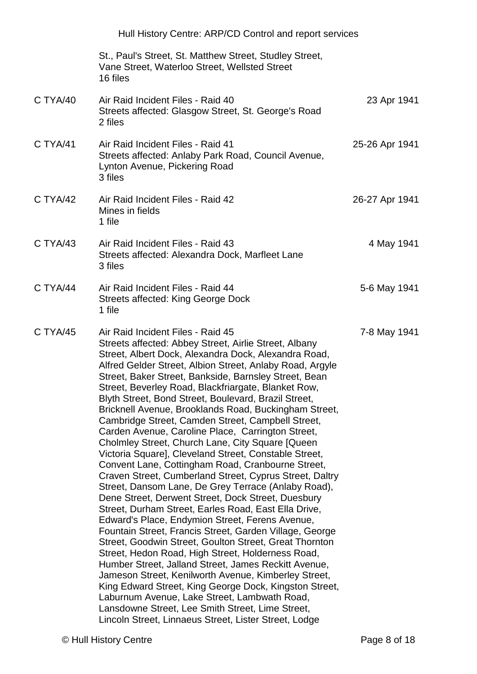|          | Hull History Centre: ARP/CD Control and report services                                                                                                                                                                                                                                                                                                                                                                                                                                                                                                                                                                                                                                                                                                                                                                                                                                                                                                                                                                                                                                                                                                                                                                                                                                                                                                                                                                                                                                                                          |                |
|----------|----------------------------------------------------------------------------------------------------------------------------------------------------------------------------------------------------------------------------------------------------------------------------------------------------------------------------------------------------------------------------------------------------------------------------------------------------------------------------------------------------------------------------------------------------------------------------------------------------------------------------------------------------------------------------------------------------------------------------------------------------------------------------------------------------------------------------------------------------------------------------------------------------------------------------------------------------------------------------------------------------------------------------------------------------------------------------------------------------------------------------------------------------------------------------------------------------------------------------------------------------------------------------------------------------------------------------------------------------------------------------------------------------------------------------------------------------------------------------------------------------------------------------------|----------------|
|          | St., Paul's Street, St. Matthew Street, Studley Street,<br>Vane Street, Waterloo Street, Wellsted Street<br>16 files                                                                                                                                                                                                                                                                                                                                                                                                                                                                                                                                                                                                                                                                                                                                                                                                                                                                                                                                                                                                                                                                                                                                                                                                                                                                                                                                                                                                             |                |
| C TYA/40 | Air Raid Incident Files - Raid 40<br>Streets affected: Glasgow Street, St. George's Road<br>2 files                                                                                                                                                                                                                                                                                                                                                                                                                                                                                                                                                                                                                                                                                                                                                                                                                                                                                                                                                                                                                                                                                                                                                                                                                                                                                                                                                                                                                              | 23 Apr 1941    |
| C TYA/41 | Air Raid Incident Files - Raid 41<br>Streets affected: Anlaby Park Road, Council Avenue,<br>Lynton Avenue, Pickering Road<br>3 files                                                                                                                                                                                                                                                                                                                                                                                                                                                                                                                                                                                                                                                                                                                                                                                                                                                                                                                                                                                                                                                                                                                                                                                                                                                                                                                                                                                             | 25-26 Apr 1941 |
| C TYA/42 | Air Raid Incident Files - Raid 42<br>Mines in fields<br>1 file                                                                                                                                                                                                                                                                                                                                                                                                                                                                                                                                                                                                                                                                                                                                                                                                                                                                                                                                                                                                                                                                                                                                                                                                                                                                                                                                                                                                                                                                   | 26-27 Apr 1941 |
| C TYA/43 | Air Raid Incident Files - Raid 43<br>Streets affected: Alexandra Dock, Marfleet Lane<br>3 files                                                                                                                                                                                                                                                                                                                                                                                                                                                                                                                                                                                                                                                                                                                                                                                                                                                                                                                                                                                                                                                                                                                                                                                                                                                                                                                                                                                                                                  | 4 May 1941     |
| C TYA/44 | Air Raid Incident Files - Raid 44<br>Streets affected: King George Dock<br>1 file                                                                                                                                                                                                                                                                                                                                                                                                                                                                                                                                                                                                                                                                                                                                                                                                                                                                                                                                                                                                                                                                                                                                                                                                                                                                                                                                                                                                                                                | 5-6 May 1941   |
| C TYA/45 | Air Raid Incident Files - Raid 45<br>Streets affected: Abbey Street, Airlie Street, Albany<br>Street, Albert Dock, Alexandra Dock, Alexandra Road,<br>Alfred Gelder Street, Albion Street, Anlaby Road, Argyle<br>Street, Baker Street, Bankside, Barnsley Street, Bean<br>Street, Beverley Road, Blackfriargate, Blanket Row,<br>Blyth Street, Bond Street, Boulevard, Brazil Street,<br>Bricknell Avenue, Brooklands Road, Buckingham Street,<br>Cambridge Street, Camden Street, Campbell Street,<br>Carden Avenue, Caroline Place, Carrington Street,<br>Cholmley Street, Church Lane, City Square [Queen]<br>Victoria Square], Cleveland Street, Constable Street,<br>Convent Lane, Cottingham Road, Cranbourne Street,<br>Craven Street, Cumberland Street, Cyprus Street, Daltry<br>Street, Dansom Lane, De Grey Terrace (Anlaby Road),<br>Dene Street, Derwent Street, Dock Street, Duesbury<br>Street, Durham Street, Earles Road, East Ella Drive,<br>Edward's Place, Endymion Street, Ferens Avenue,<br>Fountain Street, Francis Street, Garden Village, George<br>Street, Goodwin Street, Goulton Street, Great Thornton<br>Street, Hedon Road, High Street, Holderness Road,<br>Humber Street, Jalland Street, James Reckitt Avenue,<br>Jameson Street, Kenilworth Avenue, Kimberley Street,<br>King Edward Street, King George Dock, Kingston Street,<br>Laburnum Avenue, Lake Street, Lambwath Road,<br>Lansdowne Street, Lee Smith Street, Lime Street,<br>Lincoln Street, Linnaeus Street, Lister Street, Lodge | 7-8 May 1941   |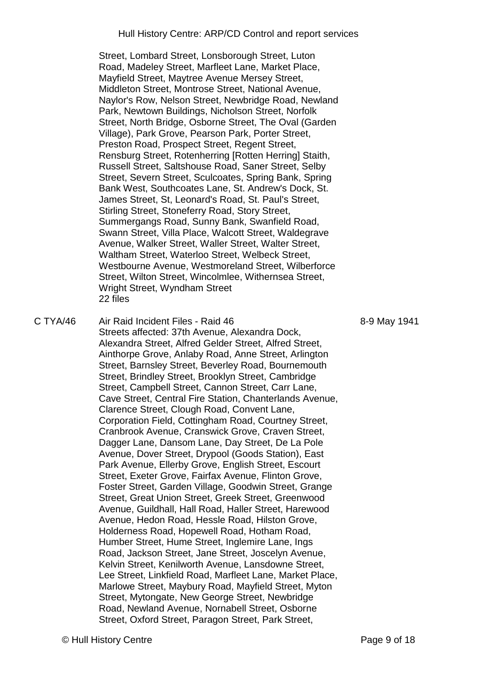Street, Lombard Street, Lonsborough Street, Luton Road, Madeley Street, Marfleet Lane, Market Place, Mayfield Street, Maytree Avenue Mersey Street, Middleton Street, Montrose Street, National Avenue, Naylor's Row, Nelson Street, Newbridge Road, Newland Park, Newtown Buildings, Nicholson Street, Norfolk Street, North Bridge, Osborne Street, The Oval (Garden Village), Park Grove, Pearson Park, Porter Street, Preston Road, Prospect Street, Regent Street, Rensburg Street, Rotenherring [Rotten Herring] Staith, Russell Street, Saltshouse Road, Saner Street, Selby Street, Severn Street, Sculcoates, Spring Bank, Spring Bank West, Southcoates Lane, St. Andrew's Dock, St. James Street, St, Leonard's Road, St. Paul's Street, Stirling Street, Stoneferry Road, Story Street, Summergangs Road, Sunny Bank, Swanfield Road, Swann Street, Villa Place, Walcott Street, Waldegrave Avenue, Walker Street, Waller Street, Walter Street, Waltham Street, Waterloo Street, Welbeck Street, Westbourne Avenue, Westmoreland Street, Wilberforce Street, Wilton Street, Wincolmlee, Withernsea Street, Wright Street, Wyndham Street 22 files

C TYA/46 Air Raid Incident Files - Raid 46 Streets affected: 37th Avenue, Alexandra Dock, Alexandra Street, Alfred Gelder Street, Alfred Street, Ainthorpe Grove, Anlaby Road, Anne Street, Arlington Street, Barnsley Street, Beverley Road, Bournemouth Street, Brindley Street, Brooklyn Street, Cambridge Street, Campbell Street, Cannon Street, Carr Lane, Cave Street, Central Fire Station, Chanterlands Avenue, Clarence Street, Clough Road, Convent Lane, Corporation Field, Cottingham Road, Courtney Street, Cranbrook Avenue, Cranswick Grove, Craven Street, Dagger Lane, Dansom Lane, Day Street, De La Pole Avenue, Dover Street, Drypool (Goods Station), East Park Avenue, Ellerby Grove, English Street, Escourt Street, Exeter Grove, Fairfax Avenue, Flinton Grove, Foster Street, Garden Village, Goodwin Street, Grange Street, Great Union Street, Greek Street, Greenwood Avenue, Guildhall, Hall Road, Haller Street, Harewood Avenue, Hedon Road, Hessle Road, Hilston Grove, Holderness Road, Hopewell Road, Hotham Road, Humber Street, Hume Street, Inglemire Lane, Ings Road, Jackson Street, Jane Street, Joscelyn Avenue, Kelvin Street, Kenilworth Avenue, Lansdowne Street, Lee Street, Linkfield Road, Marfleet Lane, Market Place, Marlowe Street, Maybury Road, Mayfield Street, Myton Street, Mytongate, New George Street, Newbridge Road, Newland Avenue, Nornabell Street, Osborne Street, Oxford Street, Paragon Street, Park Street,

8-9 May 1941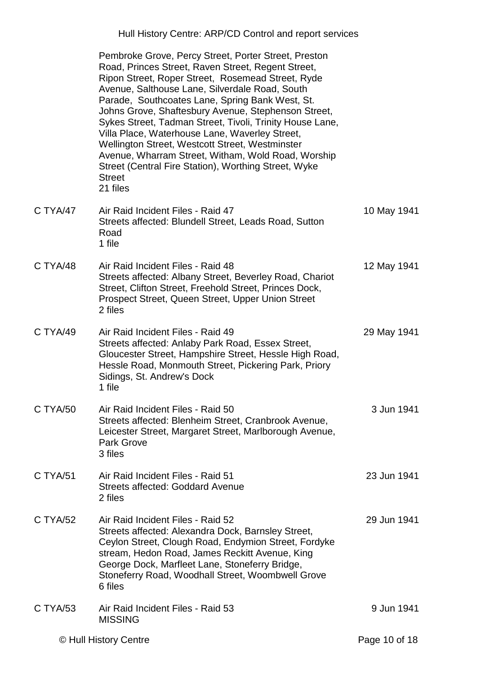Hull History Centre: ARP/CD Control and report services

|          | Pembroke Grove, Percy Street, Porter Street, Preston<br>Road, Princes Street, Raven Street, Regent Street,<br>Ripon Street, Roper Street, Rosemead Street, Ryde<br>Avenue, Salthouse Lane, Silverdale Road, South<br>Parade, Southcoates Lane, Spring Bank West, St.<br>Johns Grove, Shaftesbury Avenue, Stephenson Street,<br>Sykes Street, Tadman Street, Tivoli, Trinity House Lane,<br>Villa Place, Waterhouse Lane, Waverley Street,<br>Wellington Street, Westcott Street, Westminster<br>Avenue, Wharram Street, Witham, Wold Road, Worship<br>Street (Central Fire Station), Worthing Street, Wyke<br><b>Street</b><br>21 files |               |
|----------|-----------------------------------------------------------------------------------------------------------------------------------------------------------------------------------------------------------------------------------------------------------------------------------------------------------------------------------------------------------------------------------------------------------------------------------------------------------------------------------------------------------------------------------------------------------------------------------------------------------------------------------------|---------------|
| C TYA/47 | Air Raid Incident Files - Raid 47<br>Streets affected: Blundell Street, Leads Road, Sutton<br>Road<br>1 file                                                                                                                                                                                                                                                                                                                                                                                                                                                                                                                            | 10 May 1941   |
| C TYA/48 | Air Raid Incident Files - Raid 48<br>Streets affected: Albany Street, Beverley Road, Chariot<br>Street, Clifton Street, Freehold Street, Princes Dock,<br>Prospect Street, Queen Street, Upper Union Street<br>2 files                                                                                                                                                                                                                                                                                                                                                                                                                  | 12 May 1941   |
| C TYA/49 | Air Raid Incident Files - Raid 49<br>Streets affected: Anlaby Park Road, Essex Street,<br>Gloucester Street, Hampshire Street, Hessle High Road,<br>Hessle Road, Monmouth Street, Pickering Park, Priory<br>Sidings, St. Andrew's Dock<br>1 file                                                                                                                                                                                                                                                                                                                                                                                        | 29 May 1941   |
| C TYA/50 | Air Raid Incident Files - Raid 50<br>Streets affected: Blenheim Street, Cranbrook Avenue,<br>Leicester Street, Margaret Street, Marlborough Avenue,<br><b>Park Grove</b><br>3 files                                                                                                                                                                                                                                                                                                                                                                                                                                                     | 3 Jun 1941    |
| C TYA/51 | Air Raid Incident Files - Raid 51<br><b>Streets affected: Goddard Avenue</b><br>2 files                                                                                                                                                                                                                                                                                                                                                                                                                                                                                                                                                 | 23 Jun 1941   |
| C TYA/52 | Air Raid Incident Files - Raid 52<br>Streets affected: Alexandra Dock, Barnsley Street,<br>Ceylon Street, Clough Road, Endymion Street, Fordyke<br>stream, Hedon Road, James Reckitt Avenue, King<br>George Dock, Marfleet Lane, Stoneferry Bridge,<br>Stoneferry Road, Woodhall Street, Woombwell Grove<br>6 files                                                                                                                                                                                                                                                                                                                     | 29 Jun 1941   |
| C TYA/53 | Air Raid Incident Files - Raid 53<br><b>MISSING</b>                                                                                                                                                                                                                                                                                                                                                                                                                                                                                                                                                                                     | 9 Jun 1941    |
|          | © Hull History Centre                                                                                                                                                                                                                                                                                                                                                                                                                                                                                                                                                                                                                   | Page 10 of 18 |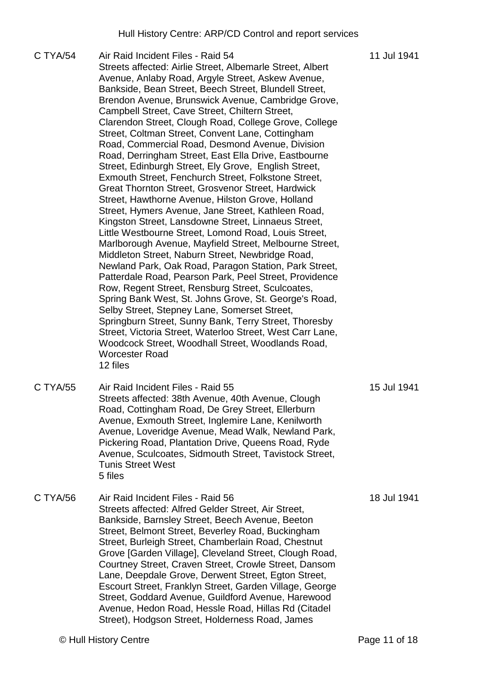C TYA/54 Air Raid Incident Files - Raid 54 Streets affected: Airlie Street, Albemarle Street, Albert Avenue, Anlaby Road, Argyle Street, Askew Avenue, Bankside, Bean Street, Beech Street, Blundell Street, Brendon Avenue, Brunswick Avenue, Cambridge Grove, Campbell Street, Cave Street, Chiltern Street, Clarendon Street, Clough Road, College Grove, College Street, Coltman Street, Convent Lane, Cottingham Road, Commercial Road, Desmond Avenue, Division Road, Derringham Street, East Ella Drive, Eastbourne Street, Edinburgh Street, Ely Grove, English Street, Exmouth Street, Fenchurch Street, Folkstone Street, Great Thornton Street, Grosvenor Street, Hardwick Street, Hawthorne Avenue, Hilston Grove, Holland Street, Hymers Avenue, Jane Street, Kathleen Road, Kingston Street, Lansdowne Street, Linnaeus Street, Little Westbourne Street, Lomond Road, Louis Street, Marlborough Avenue, Mayfield Street, Melbourne Street, Middleton Street, Naburn Street, Newbridge Road, Newland Park, Oak Road, Paragon Station, Park Street, Patterdale Road, Pearson Park, Peel Street, Providence Row, Regent Street, Rensburg Street, Sculcoates, Spring Bank West, St. Johns Grove, St. George's Road, Selby Street, Stepney Lane, Somerset Street, Springburn Street, Sunny Bank, Terry Street, Thoresby Street, Victoria Street, Waterloo Street, West Carr Lane, Woodcock Street, Woodhall Street, Woodlands Road, Worcester Road 12 files 11 Jul 1941 C TYA/55 Air Raid Incident Files - Raid 55 Streets affected: 38th Avenue, 40th Avenue, Clough Road, Cottingham Road, De Grey Street, Ellerburn Avenue, Exmouth Street, Inglemire Lane, Kenilworth Avenue, Loveridge Avenue, Mead Walk, Newland Park, Pickering Road, Plantation Drive, Queens Road, Ryde Avenue, Sculcoates, Sidmouth Street, Tavistock Street, Tunis Street West 5 files 15 Jul 1941 C TYA/56 Air Raid Incident Files - Raid 56 Streets affected: Alfred Gelder Street, Air Street, Bankside, Barnsley Street, Beech Avenue, Beeton Street, Belmont Street, Beverley Road, Buckingham Street, Burleigh Street, Chamberlain Road, Chestnut Grove [Garden Village], Cleveland Street, Clough Road, Courtney Street, Craven Street, Crowle Street, Dansom Lane, Deepdale Grove, Derwent Street, Egton Street, Escourt Street, Franklyn Street, Garden Village, George Street, Goddard Avenue, Guildford Avenue, Harewood Avenue, Hedon Road, Hessle Road, Hillas Rd (Citadel 18 Jul 1941

Street), Hodgson Street, Holderness Road, James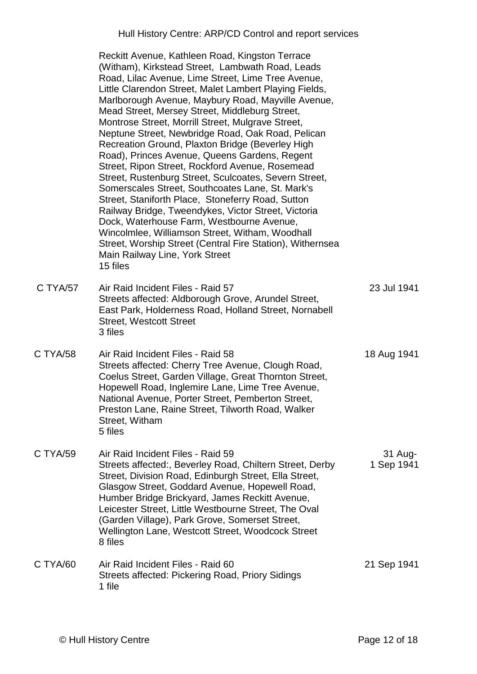Hull History Centre: ARP/CD Control and report services

Reckitt Avenue, Kathleen Road, Kingston Terrace (Witham), Kirkstead Street, Lambwath Road, Leads Road, Lilac Avenue, Lime Street, Lime Tree Avenue, Little Clarendon Street, Malet Lambert Playing Fields, Marlborough Avenue, Maybury Road, Mayville Avenue, Mead Street, Mersey Street, Middleburg Street, Montrose Street, Morrill Street, Mulgrave Street, Neptune Street, Newbridge Road, Oak Road, Pelican Recreation Ground, Plaxton Bridge (Beverley High Road), Princes Avenue, Queens Gardens, Regent Street, Ripon Street, Rockford Avenue, Rosemead Street, Rustenburg Street, Sculcoates, Severn Street, Somerscales Street, Southcoates Lane, St. Mark's Street, Staniforth Place, Stoneferry Road, Sutton Railway Bridge, Tweendykes, Victor Street, Victoria Dock, Waterhouse Farm, Westbourne Avenue, Wincolmlee, Williamson Street, Witham, Woodhall Street, Worship Street (Central Fire Station), Withernsea Main Railway Line, York Street 15 files C TYA/57 Air Raid Incident Files - Raid 57 Streets affected: Aldborough Grove, Arundel Street, East Park, Holderness Road, Holland Street, Nornabell Street, Westcott Street 3 files 23 Jul 1941 C TYA/58 Air Raid Incident Files - Raid 58 Streets affected: Cherry Tree Avenue, Clough Road, Coelus Street, Garden Village, Great Thornton Street, Hopewell Road, Inglemire Lane, Lime Tree Avenue, National Avenue, Porter Street, Pemberton Street, Preston Lane, Raine Street, Tilworth Road, Walker Street, Witham 5 files 18 Aug 1941 C TYA/59 Air Raid Incident Files - Raid 59 Streets affected:, Beverley Road, Chiltern Street, Derby Street, Division Road, Edinburgh Street, Ella Street, Glasgow Street, Goddard Avenue, Hopewell Road, Humber Bridge Brickyard, James Reckitt Avenue, Leicester Street, Little Westbourne Street, The Oval (Garden Village), Park Grove, Somerset Street, Wellington Lane, Westcott Street, Woodcock Street 8 files 31 Aug-1 Sep 1941 C TYA/60 Air Raid Incident Files - Raid 60 Streets affected: Pickering Road, Priory Sidings 1 file 21 Sep 1941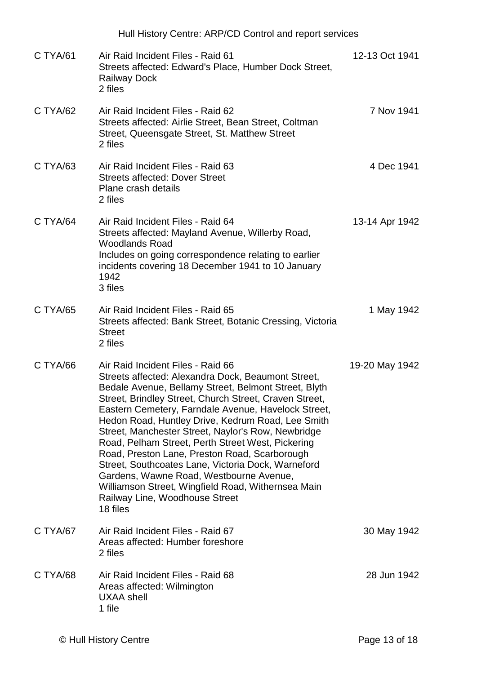|          | Hull History Centre: ARP/CD Control and report services                                                                                                                                                                                                                                                                                                                                                                                                                                                                                                                                                                                                                                |                |
|----------|----------------------------------------------------------------------------------------------------------------------------------------------------------------------------------------------------------------------------------------------------------------------------------------------------------------------------------------------------------------------------------------------------------------------------------------------------------------------------------------------------------------------------------------------------------------------------------------------------------------------------------------------------------------------------------------|----------------|
| C TYA/61 | Air Raid Incident Files - Raid 61<br>Streets affected: Edward's Place, Humber Dock Street,<br><b>Railway Dock</b><br>2 files                                                                                                                                                                                                                                                                                                                                                                                                                                                                                                                                                           | 12-13 Oct 1941 |
| C TYA/62 | Air Raid Incident Files - Raid 62<br>Streets affected: Airlie Street, Bean Street, Coltman<br>Street, Queensgate Street, St. Matthew Street<br>2 files                                                                                                                                                                                                                                                                                                                                                                                                                                                                                                                                 | 7 Nov 1941     |
| C TYA/63 | Air Raid Incident Files - Raid 63<br><b>Streets affected: Dover Street</b><br>Plane crash details<br>2 files                                                                                                                                                                                                                                                                                                                                                                                                                                                                                                                                                                           | 4 Dec 1941     |
| C TYA/64 | Air Raid Incident Files - Raid 64<br>Streets affected: Mayland Avenue, Willerby Road,<br><b>Woodlands Road</b><br>Includes on going correspondence relating to earlier<br>incidents covering 18 December 1941 to 10 January<br>1942<br>3 files                                                                                                                                                                                                                                                                                                                                                                                                                                         | 13-14 Apr 1942 |
| C TYA/65 | Air Raid Incident Files - Raid 65<br>Streets affected: Bank Street, Botanic Cressing, Victoria<br><b>Street</b><br>2 files                                                                                                                                                                                                                                                                                                                                                                                                                                                                                                                                                             | 1 May 1942     |
| C TYA/66 | Air Raid Incident Files - Raid 66<br>Streets affected: Alexandra Dock, Beaumont Street,<br>Bedale Avenue, Bellamy Street, Belmont Street, Blyth<br>Street, Brindley Street, Church Street, Craven Street,<br>Eastern Cemetery, Farndale Avenue, Havelock Street,<br>Hedon Road, Huntley Drive, Kedrum Road, Lee Smith<br>Street, Manchester Street, Naylor's Row, Newbridge<br>Road, Pelham Street, Perth Street West, Pickering<br>Road, Preston Lane, Preston Road, Scarborough<br>Street, Southcoates Lane, Victoria Dock, Warneford<br>Gardens, Wawne Road, Westbourne Avenue,<br>Williamson Street, Wingfield Road, Withernsea Main<br>Railway Line, Woodhouse Street<br>18 files | 19-20 May 1942 |
| C TYA/67 | Air Raid Incident Files - Raid 67<br>Areas affected: Humber foreshore<br>2 files                                                                                                                                                                                                                                                                                                                                                                                                                                                                                                                                                                                                       | 30 May 1942    |
| C TYA/68 | Air Raid Incident Files - Raid 68<br>Areas affected: Wilmington<br>UXAA shell<br>1 file                                                                                                                                                                                                                                                                                                                                                                                                                                                                                                                                                                                                | 28 Jun 1942    |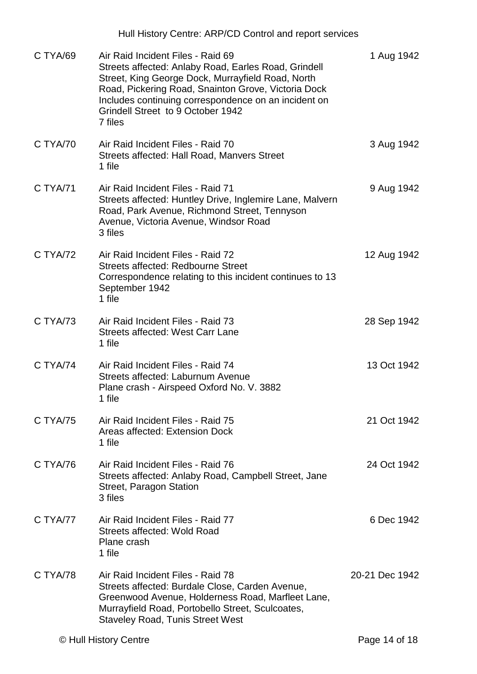|          | Hull History Centre: ARP/CD Control and report services                                                                                                                                                                                                                                                       |                |
|----------|---------------------------------------------------------------------------------------------------------------------------------------------------------------------------------------------------------------------------------------------------------------------------------------------------------------|----------------|
| C TYA/69 | Air Raid Incident Files - Raid 69<br>Streets affected: Anlaby Road, Earles Road, Grindell<br>Street, King George Dock, Murrayfield Road, North<br>Road, Pickering Road, Snainton Grove, Victoria Dock<br>Includes continuing correspondence on an incident on<br>Grindell Street to 9 October 1942<br>7 files | 1 Aug 1942     |
| C TYA/70 | Air Raid Incident Files - Raid 70<br>Streets affected: Hall Road, Manvers Street<br>1 file                                                                                                                                                                                                                    | 3 Aug 1942     |
| C TYA/71 | Air Raid Incident Files - Raid 71<br>Streets affected: Huntley Drive, Inglemire Lane, Malvern<br>Road, Park Avenue, Richmond Street, Tennyson<br>Avenue, Victoria Avenue, Windsor Road<br>3 files                                                                                                             | 9 Aug 1942     |
| C TYA/72 | Air Raid Incident Files - Raid 72<br>Streets affected: Redbourne Street<br>Correspondence relating to this incident continues to 13<br>September 1942<br>1 file                                                                                                                                               | 12 Aug 1942    |
| C TYA/73 | Air Raid Incident Files - Raid 73<br><b>Streets affected: West Carr Lane</b><br>1 file                                                                                                                                                                                                                        | 28 Sep 1942    |
| C TYA/74 | Air Raid Incident Files - Raid 74<br>Streets affected: Laburnum Avenue<br>Plane crash - Airspeed Oxford No. V. 3882<br>1 file                                                                                                                                                                                 | 13 Oct 1942    |
| C TYA/75 | Air Raid Incident Files - Raid 75<br>Areas affected: Extension Dock<br>1 file                                                                                                                                                                                                                                 | 21 Oct 1942    |
| C TYA/76 | Air Raid Incident Files - Raid 76<br>Streets affected: Anlaby Road, Campbell Street, Jane<br>Street, Paragon Station<br>3 files                                                                                                                                                                               | 24 Oct 1942    |
| C TYA/77 | Air Raid Incident Files - Raid 77<br>Streets affected: Wold Road<br>Plane crash<br>1 file                                                                                                                                                                                                                     | 6 Dec 1942     |
| C TYA/78 | Air Raid Incident Files - Raid 78<br>Streets affected: Burdale Close, Carden Avenue,<br>Greenwood Avenue, Holderness Road, Marfleet Lane,<br>Murrayfield Road, Portobello Street, Sculcoates,<br><b>Staveley Road, Tunis Street West</b>                                                                      | 20-21 Dec 1942 |
|          | © Hull History Centre                                                                                                                                                                                                                                                                                         | Page 14 of 18  |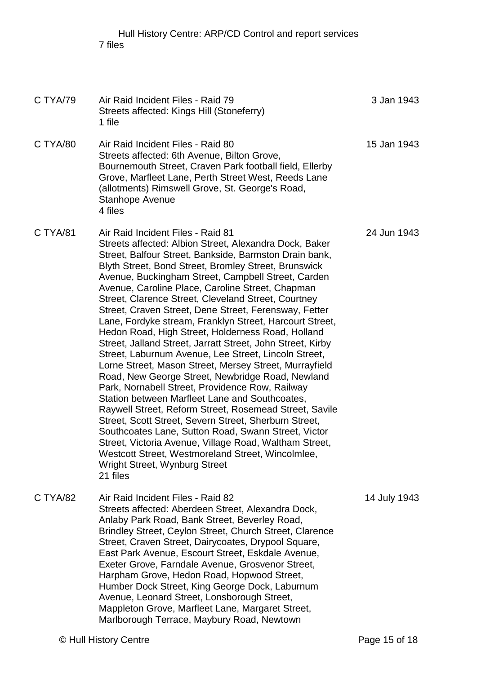Hull History Centre: ARP/CD Control and report services 7 files

| C TYA/79 | Air Raid Incident Files - Raid 79<br>Streets affected: Kings Hill (Stoneferry)<br>1 file                                                                                                                                                                                                                                                                                                                                                                                                                                                                                                                                                                                                                                                                                                                                                                                                                                                                                                                                                                                                                                                                                                                                               | 3 Jan 1943   |
|----------|----------------------------------------------------------------------------------------------------------------------------------------------------------------------------------------------------------------------------------------------------------------------------------------------------------------------------------------------------------------------------------------------------------------------------------------------------------------------------------------------------------------------------------------------------------------------------------------------------------------------------------------------------------------------------------------------------------------------------------------------------------------------------------------------------------------------------------------------------------------------------------------------------------------------------------------------------------------------------------------------------------------------------------------------------------------------------------------------------------------------------------------------------------------------------------------------------------------------------------------|--------------|
| C TYA/80 | Air Raid Incident Files - Raid 80<br>Streets affected: 6th Avenue, Bilton Grove,<br>Bournemouth Street, Craven Park football field, Ellerby<br>Grove, Marfleet Lane, Perth Street West, Reeds Lane<br>(allotments) Rimswell Grove, St. George's Road,<br>Stanhope Avenue<br>4 files                                                                                                                                                                                                                                                                                                                                                                                                                                                                                                                                                                                                                                                                                                                                                                                                                                                                                                                                                    | 15 Jan 1943  |
| C TYA/81 | Air Raid Incident Files - Raid 81<br>Streets affected: Albion Street, Alexandra Dock, Baker<br>Street, Balfour Street, Bankside, Barmston Drain bank,<br>Blyth Street, Bond Street, Bromley Street, Brunswick<br>Avenue, Buckingham Street, Campbell Street, Carden<br>Avenue, Caroline Place, Caroline Street, Chapman<br>Street, Clarence Street, Cleveland Street, Courtney<br>Street, Craven Street, Dene Street, Ferensway, Fetter<br>Lane, Fordyke stream, Franklyn Street, Harcourt Street,<br>Hedon Road, High Street, Holderness Road, Holland<br>Street, Jalland Street, Jarratt Street, John Street, Kirby<br>Street, Laburnum Avenue, Lee Street, Lincoln Street,<br>Lorne Street, Mason Street, Mersey Street, Murrayfield<br>Road, New George Street, Newbridge Road, Newland<br>Park, Nornabell Street, Providence Row, Railway<br>Station between Marfleet Lane and Southcoates,<br>Raywell Street, Reform Street, Rosemead Street, Savile<br>Street, Scott Street, Severn Street, Sherburn Street,<br>Southcoates Lane, Sutton Road, Swann Street, Victor<br>Street, Victoria Avenue, Village Road, Waltham Street,<br>Westcott Street, Westmoreland Street, Wincolmlee,<br>Wright Street, Wynburg Street<br>21 files | 24 Jun 1943  |
| C TYA/82 | Air Raid Incident Files - Raid 82<br>Streets affected: Aberdeen Street, Alexandra Dock,<br>Anlaby Park Road, Bank Street, Beverley Road,<br>Brindley Street, Ceylon Street, Church Street, Clarence<br>Street, Craven Street, Dairycoates, Drypool Square,<br>East Park Avenue, Escourt Street, Eskdale Avenue,<br>Exeter Grove, Farndale Avenue, Grosvenor Street,<br>Harpham Grove, Hedon Road, Hopwood Street,<br>Humber Dock Street, King George Dock, Laburnum<br>Avenue, Leonard Street, Lonsborough Street,<br>Mappleton Grove, Marfleet Lane, Margaret Street,<br>Marlborough Terrace, Maybury Road, Newtown                                                                                                                                                                                                                                                                                                                                                                                                                                                                                                                                                                                                                   | 14 July 1943 |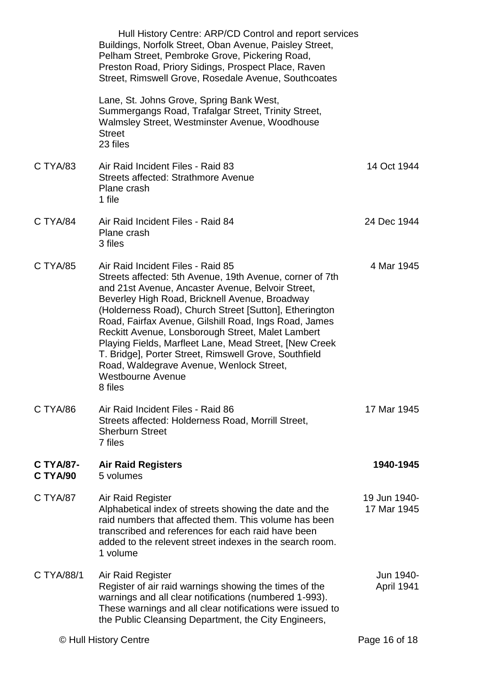|                              | Hull History Centre: ARP/CD Control and report services<br>Buildings, Norfolk Street, Oban Avenue, Paisley Street,<br>Pelham Street, Pembroke Grove, Pickering Road,<br>Preston Road, Priory Sidings, Prospect Place, Raven<br>Street, Rimswell Grove, Rosedale Avenue, Southcoates                                                                                                                                                                                                                                                                                                |                                |
|------------------------------|------------------------------------------------------------------------------------------------------------------------------------------------------------------------------------------------------------------------------------------------------------------------------------------------------------------------------------------------------------------------------------------------------------------------------------------------------------------------------------------------------------------------------------------------------------------------------------|--------------------------------|
|                              | Lane, St. Johns Grove, Spring Bank West,<br>Summergangs Road, Trafalgar Street, Trinity Street,<br>Walmsley Street, Westminster Avenue, Woodhouse<br><b>Street</b><br>23 files                                                                                                                                                                                                                                                                                                                                                                                                     |                                |
| C TYA/83                     | Air Raid Incident Files - Raid 83<br>Streets affected: Strathmore Avenue<br>Plane crash<br>1 file                                                                                                                                                                                                                                                                                                                                                                                                                                                                                  | 14 Oct 1944                    |
| C TYA/84                     | Air Raid Incident Files - Raid 84<br>Plane crash<br>3 files                                                                                                                                                                                                                                                                                                                                                                                                                                                                                                                        | 24 Dec 1944                    |
| C TYA/85                     | Air Raid Incident Files - Raid 85<br>Streets affected: 5th Avenue, 19th Avenue, corner of 7th<br>and 21st Avenue, Ancaster Avenue, Belvoir Street,<br>Beverley High Road, Bricknell Avenue, Broadway<br>(Holderness Road), Church Street [Sutton], Etherington<br>Road, Fairfax Avenue, Gilshill Road, Ings Road, James<br>Reckitt Avenue, Lonsborough Street, Malet Lambert<br>Playing Fields, Marfleet Lane, Mead Street, [New Creek<br>T. Bridge], Porter Street, Rimswell Grove, Southfield<br>Road, Waldegrave Avenue, Wenlock Street,<br><b>Westbourne Avenue</b><br>8 files | 4 Mar 1945                     |
| C TYA/86                     | Air Raid Incident Files - Raid 86<br>Streets affected: Holderness Road, Morrill Street,<br><b>Sherburn Street</b><br>7 files                                                                                                                                                                                                                                                                                                                                                                                                                                                       | 17 Mar 1945                    |
| <b>C TYA/87-</b><br>C TYA/90 | <b>Air Raid Registers</b><br>5 volumes                                                                                                                                                                                                                                                                                                                                                                                                                                                                                                                                             | 1940-1945                      |
| C TYA/87                     | Air Raid Register<br>Alphabetical index of streets showing the date and the<br>raid numbers that affected them. This volume has been<br>transcribed and references for each raid have been<br>added to the relevent street indexes in the search room.<br>1 volume                                                                                                                                                                                                                                                                                                                 | 19 Jun 1940-<br>17 Mar 1945    |
| C TYA/88/1                   | Air Raid Register<br>Register of air raid warnings showing the times of the<br>warnings and all clear notifications (numbered 1-993).<br>These warnings and all clear notifications were issued to<br>the Public Cleansing Department, the City Engineers,                                                                                                                                                                                                                                                                                                                         | Jun 1940-<br><b>April 1941</b> |
|                              | © Hull History Centre                                                                                                                                                                                                                                                                                                                                                                                                                                                                                                                                                              | Page 16 of 18                  |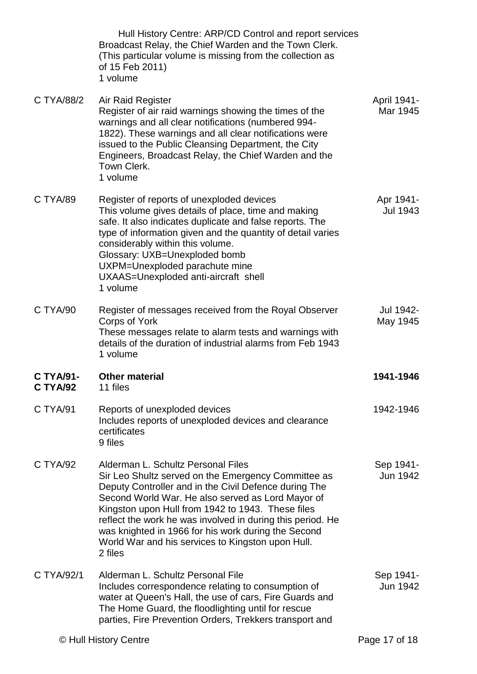|                              | Hull History Centre: ARP/CD Control and report services<br>Broadcast Relay, the Chief Warden and the Town Clerk.<br>(This particular volume is missing from the collection as<br>of 15 Feb 2011)<br>1 volume                                                                                                                                                                                                                                      |                         |
|------------------------------|---------------------------------------------------------------------------------------------------------------------------------------------------------------------------------------------------------------------------------------------------------------------------------------------------------------------------------------------------------------------------------------------------------------------------------------------------|-------------------------|
| C TYA/88/2                   | Air Raid Register<br>Register of air raid warnings showing the times of the<br>warnings and all clear notifications (numbered 994-<br>1822). These warnings and all clear notifications were<br>issued to the Public Cleansing Department, the City<br>Engineers, Broadcast Relay, the Chief Warden and the<br>Town Clerk.<br>1 volume                                                                                                            | April 1941-<br>Mar 1945 |
| C TYA/89                     | Register of reports of unexploded devices<br>This volume gives details of place, time and making<br>safe. It also indicates duplicate and false reports. The<br>type of information given and the quantity of detail varies<br>considerably within this volume.<br>Glossary: UXB=Unexploded bomb<br>UXPM=Unexploded parachute mine<br>UXAAS=Unexploded anti-aircraft shell<br>1 volume                                                            | Apr 1941-<br>Jul 1943   |
| C TYA/90                     | Register of messages received from the Royal Observer<br>Corps of York<br>These messages relate to alarm tests and warnings with<br>details of the duration of industrial alarms from Feb 1943<br>1 volume                                                                                                                                                                                                                                        | Jul 1942-<br>May 1945   |
| <b>C TYA/91-</b><br>C TYA/92 | <b>Other material</b><br>11 files                                                                                                                                                                                                                                                                                                                                                                                                                 | 1941-1946               |
| C TYA/91                     | Reports of unexploded devices<br>Includes reports of unexploded devices and clearance<br>certificates<br>9 files                                                                                                                                                                                                                                                                                                                                  | 1942-1946               |
| C TYA/92                     | Alderman L. Schultz Personal Files<br>Sir Leo Shultz served on the Emergency Committee as<br>Deputy Controller and in the Civil Defence during The<br>Second World War. He also served as Lord Mayor of<br>Kingston upon Hull from 1942 to 1943. These files<br>reflect the work he was involved in during this period. He<br>was knighted in 1966 for his work during the Second<br>World War and his services to Kingston upon Hull.<br>2 files | Sep 1941-<br>Jun 1942   |
| C TYA/92/1                   | Alderman L. Schultz Personal File<br>Includes correspondence relating to consumption of<br>water at Queen's Hall, the use of cars, Fire Guards and<br>The Home Guard, the floodlighting until for rescue<br>parties, Fire Prevention Orders, Trekkers transport and                                                                                                                                                                               | Sep 1941-<br>Jun 1942   |